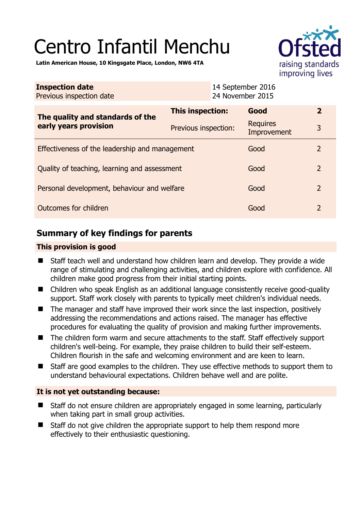# Centro Infantil Menchu



**Latin American House, 10 Kingsgate Place, London, NW6 4TA** 

| <b>Inspection date</b><br>Previous inspection date        | 14 September 2016<br>24 November 2015 |                                |                |
|-----------------------------------------------------------|---------------------------------------|--------------------------------|----------------|
| The quality and standards of the<br>early years provision | This inspection:                      | Good                           | $\overline{2}$ |
|                                                           | Previous inspection:                  | <b>Requires</b><br>Improvement | 3              |
| Effectiveness of the leadership and management            |                                       | Good                           | 2              |
| Quality of teaching, learning and assessment              |                                       | Good                           | $\overline{2}$ |
| Personal development, behaviour and welfare               |                                       | Good                           | $\overline{2}$ |
| Outcomes for children                                     |                                       | Good                           | $\overline{2}$ |

# **Summary of key findings for parents**

#### **This provision is good**

- Staff teach well and understand how children learn and develop. They provide a wide range of stimulating and challenging activities, and children explore with confidence. All children make good progress from their initial starting points.
- Children who speak English as an additional language consistently receive good-quality support. Staff work closely with parents to typically meet children's individual needs.
- The manager and staff have improved their work since the last inspection, positively addressing the recommendations and actions raised. The manager has effective procedures for evaluating the quality of provision and making further improvements.
- The children form warm and secure attachments to the staff. Staff effectively support children's well-being. For example, they praise children to build their self-esteem. Children flourish in the safe and welcoming environment and are keen to learn.
- Staff are good examples to the children. They use effective methods to support them to understand behavioural expectations. Children behave well and are polite.

#### **It is not yet outstanding because:**

- Staff do not ensure children are appropriately engaged in some learning, particularly when taking part in small group activities.
- Staff do not give children the appropriate support to help them respond more effectively to their enthusiastic questioning.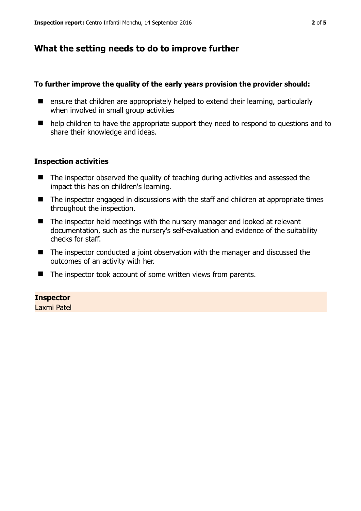## **What the setting needs to do to improve further**

#### **To further improve the quality of the early years provision the provider should:**

- ensure that children are appropriately helped to extend their learning, particularly when involved in small group activities
- help children to have the appropriate support they need to respond to questions and to share their knowledge and ideas.

#### **Inspection activities**

- The inspector observed the quality of teaching during activities and assessed the impact this has on children's learning.
- The inspector engaged in discussions with the staff and children at appropriate times throughout the inspection.
- The inspector held meetings with the nursery manager and looked at relevant documentation, such as the nursery's self-evaluation and evidence of the suitability checks for staff.
- The inspector conducted a joint observation with the manager and discussed the outcomes of an activity with her.
- The inspector took account of some written views from parents.

#### **Inspector**

Laxmi Patel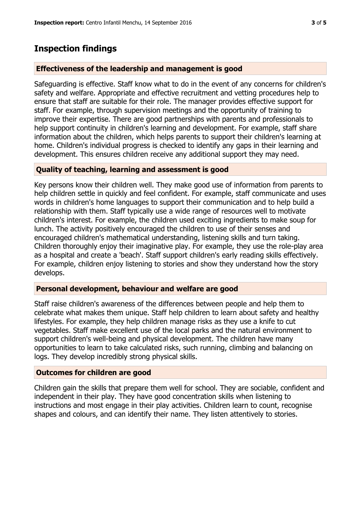# **Inspection findings**

## **Effectiveness of the leadership and management is good**

Safeguarding is effective. Staff know what to do in the event of any concerns for children's safety and welfare. Appropriate and effective recruitment and vetting procedures help to ensure that staff are suitable for their role. The manager provides effective support for staff. For example, through supervision meetings and the opportunity of training to improve their expertise. There are good partnerships with parents and professionals to help support continuity in children's learning and development. For example, staff share information about the children, which helps parents to support their children's learning at home. Children's individual progress is checked to identify any gaps in their learning and development. This ensures children receive any additional support they may need.

## **Quality of teaching, learning and assessment is good**

Key persons know their children well. They make good use of information from parents to help children settle in quickly and feel confident. For example, staff communicate and uses words in children's home languages to support their communication and to help build a relationship with them. Staff typically use a wide range of resources well to motivate children's interest. For example, the children used exciting ingredients to make soup for lunch. The activity positively encouraged the children to use of their senses and encouraged children's mathematical understanding, listening skills and turn taking. Children thoroughly enjoy their imaginative play. For example, they use the role-play area as a hospital and create a 'beach'. Staff support children's early reading skills effectively. For example, children enjoy listening to stories and show they understand how the story develops.

#### **Personal development, behaviour and welfare are good**

Staff raise children's awareness of the differences between people and help them to celebrate what makes them unique. Staff help children to learn about safety and healthy lifestyles. For example, they help children manage risks as they use a knife to cut vegetables. Staff make excellent use of the local parks and the natural environment to support children's well-being and physical development. The children have many opportunities to learn to take calculated risks, such running, climbing and balancing on logs. They develop incredibly strong physical skills.

#### **Outcomes for children are good**

Children gain the skills that prepare them well for school. They are sociable, confident and independent in their play. They have good concentration skills when listening to instructions and most engage in their play activities. Children learn to count, recognise shapes and colours, and can identify their name. They listen attentively to stories.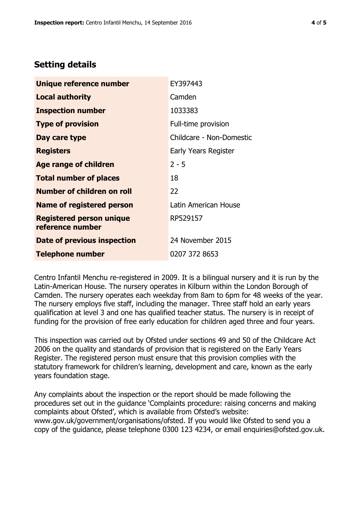## **Setting details**

| Unique reference number                             | EY397443                 |
|-----------------------------------------------------|--------------------------|
| <b>Local authority</b>                              | Camden                   |
| <b>Inspection number</b>                            | 1033383                  |
| <b>Type of provision</b>                            | Full-time provision      |
| Day care type                                       | Childcare - Non-Domestic |
| <b>Registers</b>                                    | Early Years Register     |
| Age range of children                               | $2 - 5$                  |
| <b>Total number of places</b>                       | 18                       |
| Number of children on roll                          | 22                       |
| <b>Name of registered person</b>                    | Latin American House     |
| <b>Registered person unique</b><br>reference number | RP529157                 |
| Date of previous inspection                         | 24 November 2015         |
| <b>Telephone number</b>                             | 0207 372 8653            |

Centro Infantil Menchu re-registered in 2009. It is a bilingual nursery and it is run by the Latin-American House. The nursery operates in Kilburn within the London Borough of Camden. The nursery operates each weekday from 8am to 6pm for 48 weeks of the year. The nursery employs five staff, including the manager. Three staff hold an early years qualification at level 3 and one has qualified teacher status. The nursery is in receipt of funding for the provision of free early education for children aged three and four years.

This inspection was carried out by Ofsted under sections 49 and 50 of the Childcare Act 2006 on the quality and standards of provision that is registered on the Early Years Register. The registered person must ensure that this provision complies with the statutory framework for children's learning, development and care, known as the early years foundation stage.

Any complaints about the inspection or the report should be made following the procedures set out in the guidance 'Complaints procedure: raising concerns and making complaints about Ofsted', which is available from Ofsted's website: www.gov.uk/government/organisations/ofsted. If you would like Ofsted to send you a copy of the guidance, please telephone 0300 123 4234, or email enquiries@ofsted.gov.uk.